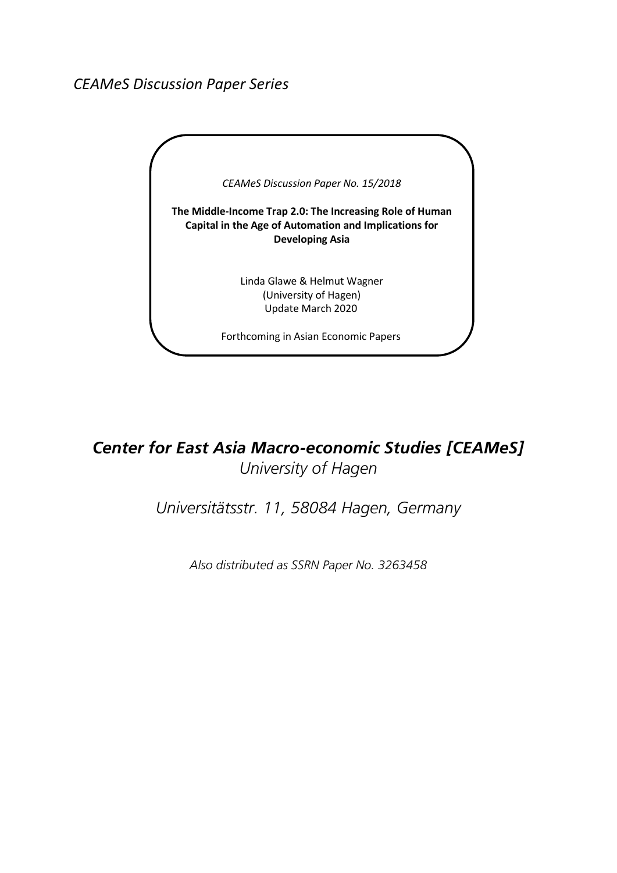## *CEAMeS Discussion Paper Series*



# *Center for East Asia Macro-economic Studies [CEAMeS] University of Hagen*

*Universitätsstr. 11, 58084 Hagen, Germany* 

*Also distributed as SSRN Paper No. 3263458*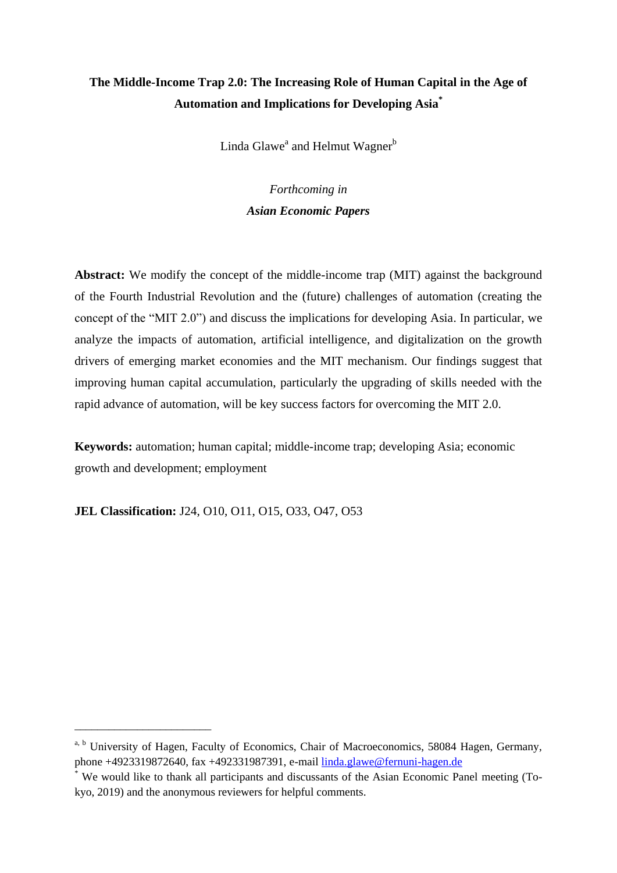### **The Middle-Income Trap 2.0: The Increasing Role of Human Capital in the Age of Automation and Implications for Developing Asia\***

Linda Glawe<sup>a</sup> and Helmut Wagner<sup>b</sup>

*Forthcoming in Asian Economic Papers* 

Abstract: We modify the concept of the middle-income trap (MIT) against the background of the Fourth Industrial Revolution and the (future) challenges of automation (creating the concept of the "MIT 2.0") and discuss the implications for developing Asia. In particular, we analyze the impacts of automation, artificial intelligence, and digitalization on the growth drivers of emerging market economies and the MIT mechanism. Our findings suggest that improving human capital accumulation, particularly the upgrading of skills needed with the rapid advance of automation, will be key success factors for overcoming the MIT 2.0.

**Keywords:** automation; human capital; middle-income trap; developing Asia; economic growth and development; employment

**JEL Classification:** J24, O10, O11, O15, O33, O47, O53

\_\_\_\_\_\_\_\_\_\_\_\_\_\_\_\_\_\_\_\_\_\_\_\_

<sup>&</sup>lt;sup>a, b</sup> University of Hagen, Faculty of Economics, Chair of Macroeconomics, 58084 Hagen, Germany, phone +4923319872640, fax +492331987391, e-mail [linda.glawe@fernuni-hagen.de](mailto:linda.glawe@fernuni-hagen.de)

We would like to thank all participants and discussants of the Asian Economic Panel meeting (Tokyo, 2019) and the anonymous reviewers for helpful comments.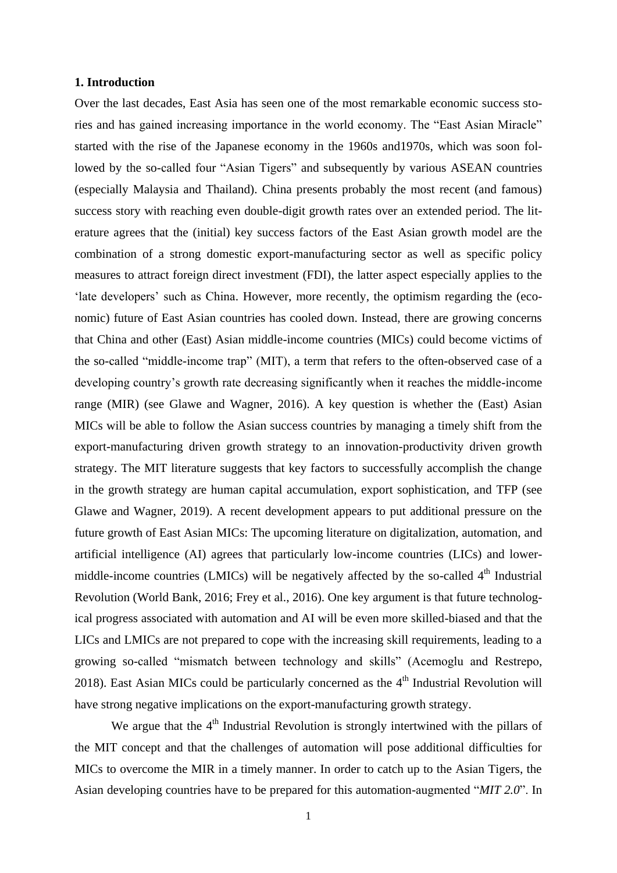#### **1. Introduction**

Over the last decades, East Asia has seen one of the most remarkable economic success stories and has gained increasing importance in the world economy. The "East Asian Miracle" started with the rise of the Japanese economy in the 1960s and1970s, which was soon followed by the so-called four "Asian Tigers" and subsequently by various ASEAN countries (especially Malaysia and Thailand). China presents probably the most recent (and famous) success story with reaching even double-digit growth rates over an extended period. The literature agrees that the (initial) key success factors of the East Asian growth model are the combination of a strong domestic export-manufacturing sector as well as specific policy measures to attract foreign direct investment (FDI), the latter aspect especially applies to the 'late developers' such as China. However, more recently, the optimism regarding the (economic) future of East Asian countries has cooled down. Instead, there are growing concerns that China and other (East) Asian middle-income countries (MICs) could become victims of the so-called "middle-income trap" (MIT), a term that refers to the often-observed case of a developing country's growth rate decreasing significantly when it reaches the middle-income range (MIR) (see Glawe and Wagner, 2016). A key question is whether the (East) Asian MICs will be able to follow the Asian success countries by managing a timely shift from the export-manufacturing driven growth strategy to an innovation-productivity driven growth strategy. The MIT literature suggests that key factors to successfully accomplish the change in the growth strategy are human capital accumulation, export sophistication, and TFP (see Glawe and Wagner, 2019). A recent development appears to put additional pressure on the future growth of East Asian MICs: The upcoming literature on digitalization, automation, and artificial intelligence (AI) agrees that particularly low-income countries (LICs) and lowermiddle-income countries (LMICs) will be negatively affected by the so-called  $4<sup>th</sup>$  Industrial Revolution (World Bank, 2016; Frey et al., 2016). One key argument is that future technological progress associated with automation and AI will be even more skilled-biased and that the LICs and LMICs are not prepared to cope with the increasing skill requirements, leading to a growing so-called "mismatch between technology and skills" (Acemoglu and Restrepo, 2018). East Asian MICs could be particularly concerned as the  $4<sup>th</sup>$  Industrial Revolution will have strong negative implications on the export-manufacturing growth strategy.

We argue that the 4<sup>th</sup> Industrial Revolution is strongly intertwined with the pillars of the MIT concept and that the challenges of automation will pose additional difficulties for MICs to overcome the MIR in a timely manner. In order to catch up to the Asian Tigers, the Asian developing countries have to be prepared for this automation-augmented "*MIT 2.0*". In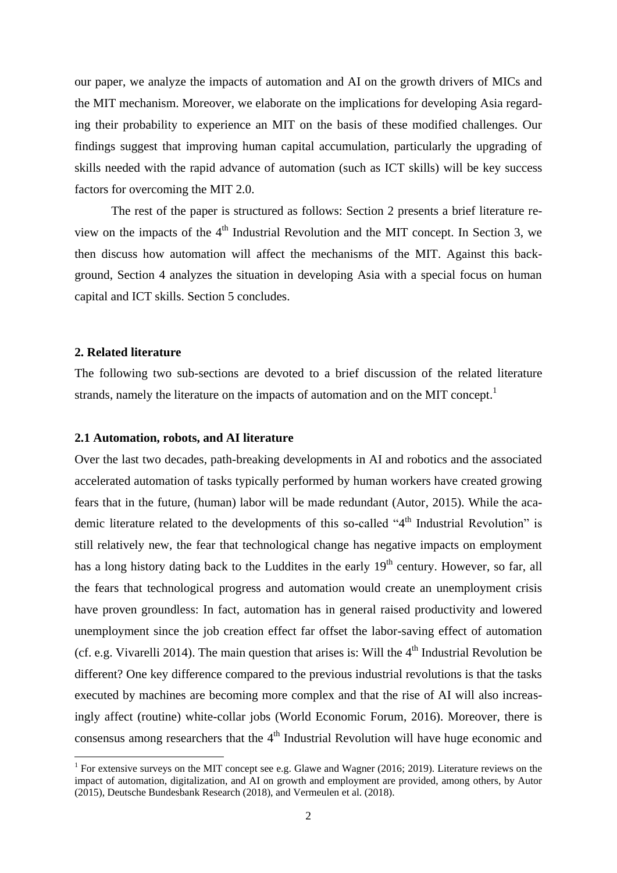our paper, we analyze the impacts of automation and AI on the growth drivers of MICs and the MIT mechanism. Moreover, we elaborate on the implications for developing Asia regarding their probability to experience an MIT on the basis of these modified challenges. Our findings suggest that improving human capital accumulation, particularly the upgrading of skills needed with the rapid advance of automation (such as ICT skills) will be key success factors for overcoming the MIT 2.0.

The rest of the paper is structured as follows: Section 2 presents a brief literature review on the impacts of the  $4<sup>th</sup>$  Industrial Revolution and the MIT concept. In Section 3, we then discuss how automation will affect the mechanisms of the MIT. Against this background, Section 4 analyzes the situation in developing Asia with a special focus on human capital and ICT skills. Section 5 concludes.

#### **2. Related literature**

The following two sub-sections are devoted to a brief discussion of the related literature strands, namely the literature on the impacts of automation and on the MIT concept.<sup>1</sup>

#### **2.1 Automation, robots, and AI literature**

Over the last two decades, path-breaking developments in AI and robotics and the associated accelerated automation of tasks typically performed by human workers have created growing fears that in the future, (human) labor will be made redundant (Autor, 2015). While the academic literature related to the developments of this so-called "4<sup>th</sup> Industrial Revolution" is still relatively new, the fear that technological change has negative impacts on employment has a long history dating back to the Luddites in the early  $19<sup>th</sup>$  century. However, so far, all the fears that technological progress and automation would create an unemployment crisis have proven groundless: In fact, automation has in general raised productivity and lowered unemployment since the job creation effect far offset the labor-saving effect of automation (cf. e.g. Vivarelli 2014). The main question that arises is: Will the  $4<sup>th</sup>$  Industrial Revolution be different? One key difference compared to the previous industrial revolutions is that the tasks executed by machines are becoming more complex and that the rise of AI will also increasingly affect (routine) white-collar jobs (World Economic Forum, 2016). Moreover, there is consensus among researchers that the  $4<sup>th</sup>$  Industrial Revolution will have huge economic and

<sup>&</sup>lt;sup>1</sup> For extensive surveys on the MIT concept see e.g. Glawe and Wagner (2016; 2019). Literature reviews on the impact of automation, digitalization, and AI on growth and employment are provided, among others, by Autor (2015), Deutsche Bundesbank Research (2018), and Vermeulen et al. (2018).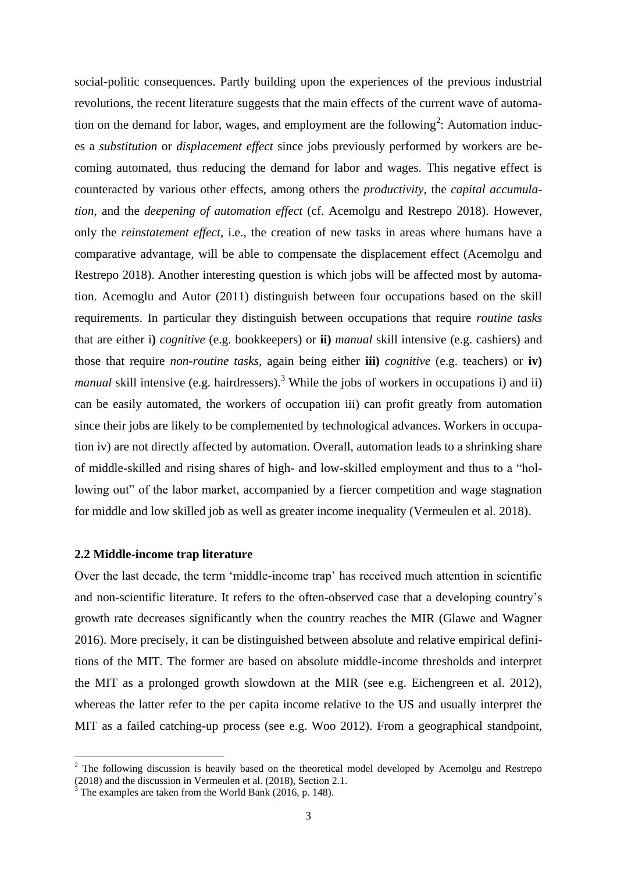social-politic consequences. Partly building upon the experiences of the previous industrial revolutions, the recent literature suggests that the main effects of the current wave of automation on the demand for labor, wages, and employment are the following<sup>2</sup>: Automation induces a *substitution* or *displacement effect* since jobs previously performed by workers are becoming automated, thus reducing the demand for labor and wages. This negative effect is counteracted by various other effects, among others the *productivity*, the *capital accumulation*, and the *deepening of automation effect* (cf. Acemolgu and Restrepo 2018). However, only the *reinstatement effect*, i.e., the creation of new tasks in areas where humans have a comparative advantage, will be able to compensate the displacement effect (Acemolgu and Restrepo 2018). Another interesting question is which jobs will be affected most by automation. Acemoglu and Autor (2011) distinguish between four occupations based on the skill requirements. In particular they distinguish between occupations that require *routine tasks* that are either i**)** *cognitive* (e.g. bookkeepers) or **ii)** *manual* skill intensive (e.g. cashiers) and those that require *non-routine tasks*, again being either **iii)** *cognitive* (e.g. teachers) or **iv)** *manual* skill intensive (e.g. hairdressers).<sup>3</sup> While the jobs of workers in occupations i) and ii) can be easily automated, the workers of occupation iii) can profit greatly from automation since their jobs are likely to be complemented by technological advances. Workers in occupation iv) are not directly affected by automation. Overall, automation leads to a shrinking share of middle-skilled and rising shares of high- and low-skilled employment and thus to a "hollowing out" of the labor market, accompanied by a fiercer competition and wage stagnation for middle and low skilled job as well as greater income inequality (Vermeulen et al. 2018).

### **2.2 Middle-income trap literature**

**.** 

Over the last decade, the term 'middle-income trap' has received much attention in scientific and non-scientific literature. It refers to the often-observed case that a developing country's growth rate decreases significantly when the country reaches the MIR (Glawe and Wagner 2016). More precisely, it can be distinguished between absolute and relative empirical definitions of the MIT. The former are based on absolute middle-income thresholds and interpret the MIT as a prolonged growth slowdown at the MIR (see e.g. Eichengreen et al. 2012), whereas the latter refer to the per capita income relative to the US and usually interpret the MIT as a failed catching-up process (see e.g. Woo 2012). From a geographical standpoint,

 $2$  The following discussion is heavily based on the theoretical model developed by Acemolgu and Restrepo (2018) and the discussion in Vermeulen et al. (2018), Section 2.1.

The examples are taken from the World Bank (2016, p. 148).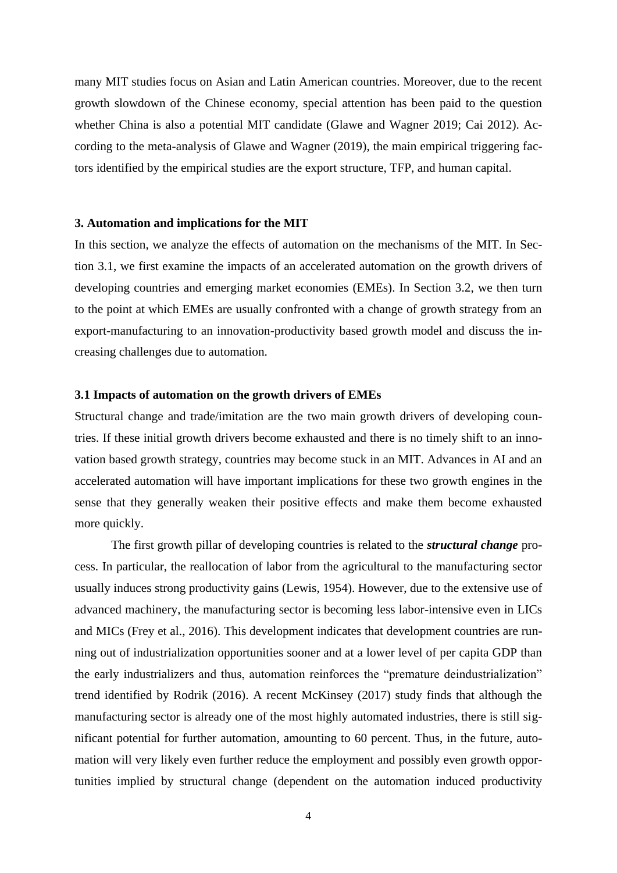many MIT studies focus on Asian and Latin American countries. Moreover, due to the recent growth slowdown of the Chinese economy, special attention has been paid to the question whether China is also a potential MIT candidate (Glawe and Wagner 2019; Cai 2012). According to the meta-analysis of Glawe and Wagner (2019), the main empirical triggering factors identified by the empirical studies are the export structure, TFP, and human capital.

#### **3. Automation and implications for the MIT**

In this section, we analyze the effects of automation on the mechanisms of the MIT. In Section 3.1, we first examine the impacts of an accelerated automation on the growth drivers of developing countries and emerging market economies (EMEs). In Section 3.2, we then turn to the point at which EMEs are usually confronted with a change of growth strategy from an export-manufacturing to an innovation-productivity based growth model and discuss the increasing challenges due to automation.

#### **3.1 Impacts of automation on the growth drivers of EMEs**

Structural change and trade/imitation are the two main growth drivers of developing countries. If these initial growth drivers become exhausted and there is no timely shift to an innovation based growth strategy, countries may become stuck in an MIT. Advances in AI and an accelerated automation will have important implications for these two growth engines in the sense that they generally weaken their positive effects and make them become exhausted more quickly.

The first growth pillar of developing countries is related to the *structural change* process. In particular, the reallocation of labor from the agricultural to the manufacturing sector usually induces strong productivity gains (Lewis, 1954). However, due to the extensive use of advanced machinery, the manufacturing sector is becoming less labor-intensive even in LICs and MICs (Frey et al., 2016). This development indicates that development countries are running out of industrialization opportunities sooner and at a lower level of per capita GDP than the early industrializers and thus, automation reinforces the "premature deindustrialization" trend identified by Rodrik (2016). A recent McKinsey (2017) study finds that although the manufacturing sector is already one of the most highly automated industries, there is still significant potential for further automation, amounting to 60 percent. Thus, in the future, automation will very likely even further reduce the employment and possibly even growth opportunities implied by structural change (dependent on the automation induced productivity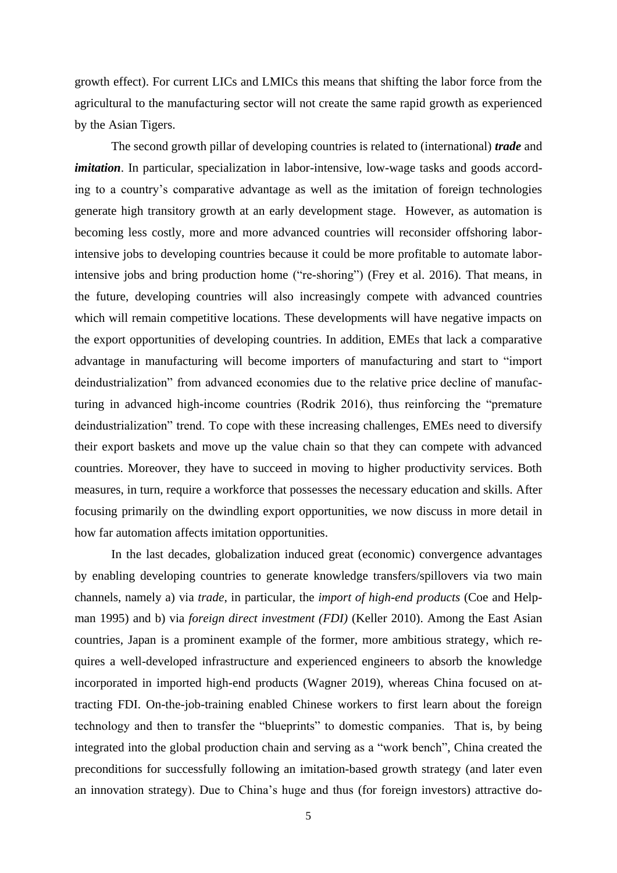growth effect). For current LICs and LMICs this means that shifting the labor force from the agricultural to the manufacturing sector will not create the same rapid growth as experienced by the Asian Tigers.

The second growth pillar of developing countries is related to (international) *trade* and *imitation*. In particular, specialization in labor-intensive, low-wage tasks and goods according to a country's comparative advantage as well as the imitation of foreign technologies generate high transitory growth at an early development stage. However, as automation is becoming less costly, more and more advanced countries will reconsider offshoring laborintensive jobs to developing countries because it could be more profitable to automate laborintensive jobs and bring production home ("re-shoring") (Frey et al. 2016). That means, in the future, developing countries will also increasingly compete with advanced countries which will remain competitive locations. These developments will have negative impacts on the export opportunities of developing countries. In addition, EMEs that lack a comparative advantage in manufacturing will become importers of manufacturing and start to "import deindustrialization" from advanced economies due to the relative price decline of manufacturing in advanced high-income countries (Rodrik 2016), thus reinforcing the "premature deindustrialization" trend. To cope with these increasing challenges, EMEs need to diversify their export baskets and move up the value chain so that they can compete with advanced countries. Moreover, they have to succeed in moving to higher productivity services. Both measures, in turn, require a workforce that possesses the necessary education and skills. After focusing primarily on the dwindling export opportunities, we now discuss in more detail in how far automation affects imitation opportunities.

In the last decades, globalization induced great (economic) convergence advantages by enabling developing countries to generate knowledge transfers/spillovers via two main channels, namely a) via *trade*, in particular, the *import of high-end products* (Coe and Helpman 1995) and b) via *foreign direct investment (FDI)* (Keller 2010). Among the East Asian countries, Japan is a prominent example of the former, more ambitious strategy, which requires a well-developed infrastructure and experienced engineers to absorb the knowledge incorporated in imported high-end products (Wagner 2019), whereas China focused on attracting FDI. On-the-job-training enabled Chinese workers to first learn about the foreign technology and then to transfer the "blueprints" to domestic companies. That is, by being integrated into the global production chain and serving as a "work bench", China created the preconditions for successfully following an imitation-based growth strategy (and later even an innovation strategy). Due to China's huge and thus (for foreign investors) attractive do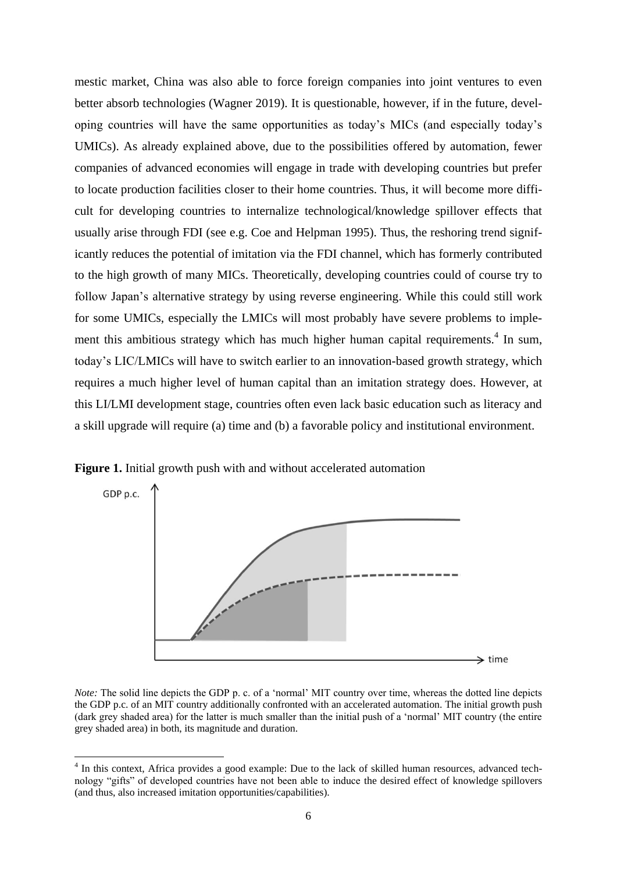mestic market, China was also able to force foreign companies into joint ventures to even better absorb technologies (Wagner 2019). It is questionable, however, if in the future, developing countries will have the same opportunities as today's MICs (and especially today's UMICs). As already explained above, due to the possibilities offered by automation, fewer companies of advanced economies will engage in trade with developing countries but prefer to locate production facilities closer to their home countries. Thus, it will become more difficult for developing countries to internalize technological/knowledge spillover effects that usually arise through FDI (see e.g. Coe and Helpman 1995). Thus, the reshoring trend significantly reduces the potential of imitation via the FDI channel, which has formerly contributed to the high growth of many MICs. Theoretically, developing countries could of course try to follow Japan's alternative strategy by using reverse engineering. While this could still work for some UMICs, especially the LMICs will most probably have severe problems to implement this ambitious strategy which has much higher human capital requirements.<sup>4</sup> In sum, today's LIC/LMICs will have to switch earlier to an innovation-based growth strategy, which requires a much higher level of human capital than an imitation strategy does. However, at this LI/LMI development stage, countries often even lack basic education such as literacy and a skill upgrade will require (a) time and (b) a favorable policy and institutional environment.



**.** 



*Note:* The solid line depicts the GDP p. c. of a 'normal' MIT country over time, whereas the dotted line depicts the GDP p.c. of an MIT country additionally confronted with an accelerated automation. The initial growth push (dark grey shaded area) for the latter is much smaller than the initial push of a 'normal' MIT country (the entire grey shaded area) in both, its magnitude and duration.

<sup>&</sup>lt;sup>4</sup> In this context, Africa provides a good example: Due to the lack of skilled human resources, advanced technology "gifts" of developed countries have not been able to induce the desired effect of knowledge spillovers (and thus, also increased imitation opportunities/capabilities).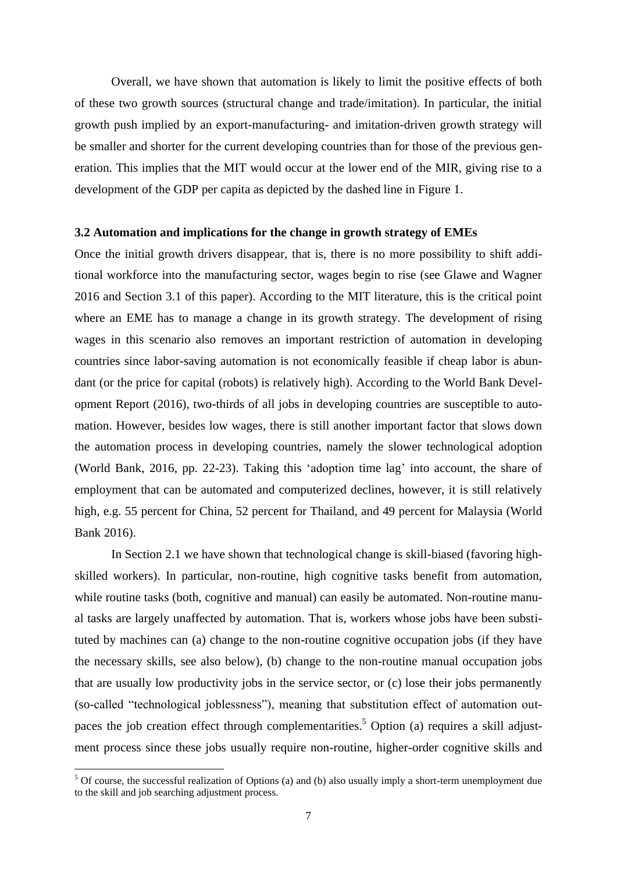Overall, we have shown that automation is likely to limit the positive effects of both of these two growth sources (structural change and trade/imitation). In particular, the initial growth push implied by an export-manufacturing- and imitation-driven growth strategy will be smaller and shorter for the current developing countries than for those of the previous generation. This implies that the MIT would occur at the lower end of the MIR, giving rise to a development of the GDP per capita as depicted by the dashed line in Figure 1.

#### **3.2 Automation and implications for the change in growth strategy of EMEs**

Once the initial growth drivers disappear, that is, there is no more possibility to shift additional workforce into the manufacturing sector, wages begin to rise (see Glawe and Wagner 2016 and Section 3.1 of this paper). According to the MIT literature, this is the critical point where an EME has to manage a change in its growth strategy. The development of rising wages in this scenario also removes an important restriction of automation in developing countries since labor-saving automation is not economically feasible if cheap labor is abundant (or the price for capital (robots) is relatively high). According to the World Bank Development Report (2016), two-thirds of all jobs in developing countries are susceptible to automation. However, besides low wages, there is still another important factor that slows down the automation process in developing countries, namely the slower technological adoption (World Bank, 2016, pp. 22-23). Taking this 'adoption time lag' into account, the share of employment that can be automated and computerized declines, however, it is still relatively high, e.g. 55 percent for China, 52 percent for Thailand, and 49 percent for Malaysia (World Bank 2016).

In Section 2.1 we have shown that technological change is skill-biased (favoring highskilled workers). In particular, non-routine, high cognitive tasks benefit from automation, while routine tasks (both, cognitive and manual) can easily be automated. Non-routine manual tasks are largely unaffected by automation. That is, workers whose jobs have been substituted by machines can (a) change to the non-routine cognitive occupation jobs (if they have the necessary skills, see also below), (b) change to the non-routine manual occupation jobs that are usually low productivity jobs in the service sector, or (c) lose their jobs permanently (so-called "technological joblessness"), meaning that substitution effect of automation outpaces the job creation effect through complementarities.<sup>5</sup> Option (a) requires a skill adjustment process since these jobs usually require non-routine, higher-order cognitive skills and

1

 $5$  Of course, the successful realization of Options (a) and (b) also usually imply a short-term unemployment due to the skill and job searching adjustment process.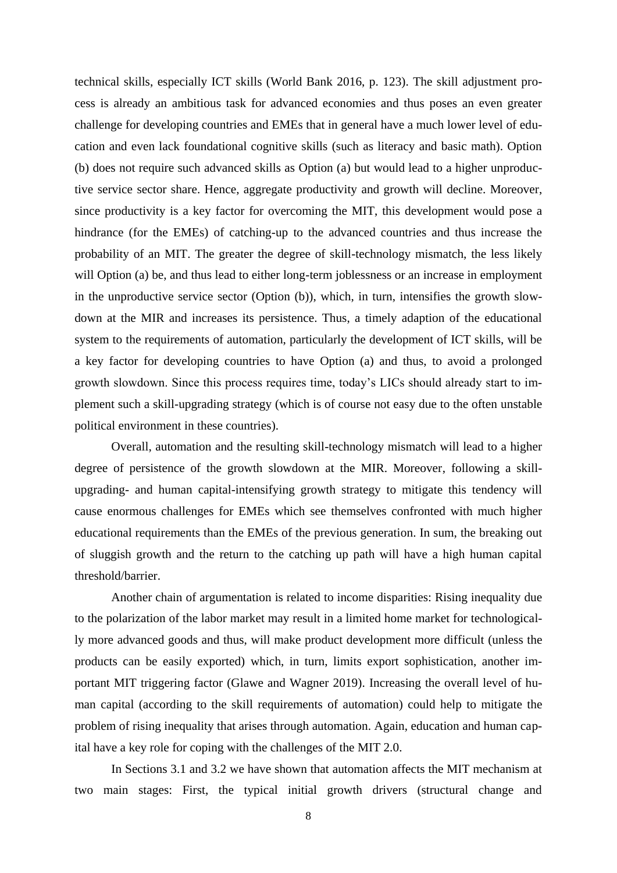technical skills, especially ICT skills (World Bank 2016, p. 123). The skill adjustment process is already an ambitious task for advanced economies and thus poses an even greater challenge for developing countries and EMEs that in general have a much lower level of education and even lack foundational cognitive skills (such as literacy and basic math). Option (b) does not require such advanced skills as Option (a) but would lead to a higher unproductive service sector share. Hence, aggregate productivity and growth will decline. Moreover, since productivity is a key factor for overcoming the MIT, this development would pose a hindrance (for the EMEs) of catching-up to the advanced countries and thus increase the probability of an MIT. The greater the degree of skill-technology mismatch, the less likely will Option (a) be, and thus lead to either long-term joblessness or an increase in employment in the unproductive service sector (Option (b)), which, in turn, intensifies the growth slowdown at the MIR and increases its persistence. Thus, a timely adaption of the educational system to the requirements of automation, particularly the development of ICT skills, will be a key factor for developing countries to have Option (a) and thus, to avoid a prolonged growth slowdown. Since this process requires time, today's LICs should already start to implement such a skill-upgrading strategy (which is of course not easy due to the often unstable political environment in these countries).

Overall, automation and the resulting skill-technology mismatch will lead to a higher degree of persistence of the growth slowdown at the MIR. Moreover, following a skillupgrading- and human capital-intensifying growth strategy to mitigate this tendency will cause enormous challenges for EMEs which see themselves confronted with much higher educational requirements than the EMEs of the previous generation. In sum, the breaking out of sluggish growth and the return to the catching up path will have a high human capital threshold/barrier.

Another chain of argumentation is related to income disparities: Rising inequality due to the polarization of the labor market may result in a limited home market for technologically more advanced goods and thus, will make product development more difficult (unless the products can be easily exported) which, in turn, limits export sophistication, another important MIT triggering factor (Glawe and Wagner 2019). Increasing the overall level of human capital (according to the skill requirements of automation) could help to mitigate the problem of rising inequality that arises through automation. Again, education and human capital have a key role for coping with the challenges of the MIT 2.0.

In Sections 3.1 and 3.2 we have shown that automation affects the MIT mechanism at two main stages: First, the typical initial growth drivers (structural change and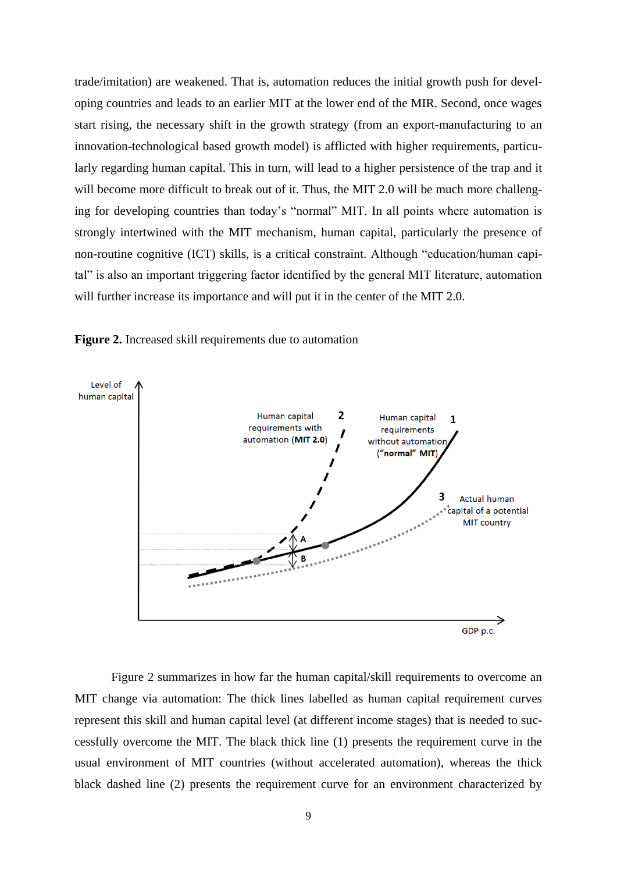trade/imitation) are weakened. That is, automation reduces the initial growth push for developing countries and leads to an earlier MIT at the lower end of the MIR. Second, once wages start rising, the necessary shift in the growth strategy (from an export-manufacturing to an innovation-technological based growth model) is afflicted with higher requirements, particularly regarding human capital. This in turn, will lead to a higher persistence of the trap and it will become more difficult to break out of it. Thus, the MIT 2.0 will be much more challenging for developing countries than today's "normal" MIT. In all points where automation is strongly intertwined with the MIT mechanism, human capital, particularly the presence of non-routine cognitive (ICT) skills, is a critical constraint. Although "education/human capital" is also an important triggering factor identified by the general MIT literature, automation will further increase its importance and will put it in the center of the MIT 2.0.



**Figure 2.** Increased skill requirements due to automation

Figure 2 summarizes in how far the human capital/skill requirements to overcome an MIT change via automation: The thick lines labelled as human capital requirement curves represent this skill and human capital level (at different income stages) that is needed to successfully overcome the MIT. The black thick line (1) presents the requirement curve in the usual environment of MIT countries (without accelerated automation), whereas the thick black dashed line (2) presents the requirement curve for an environment characterized by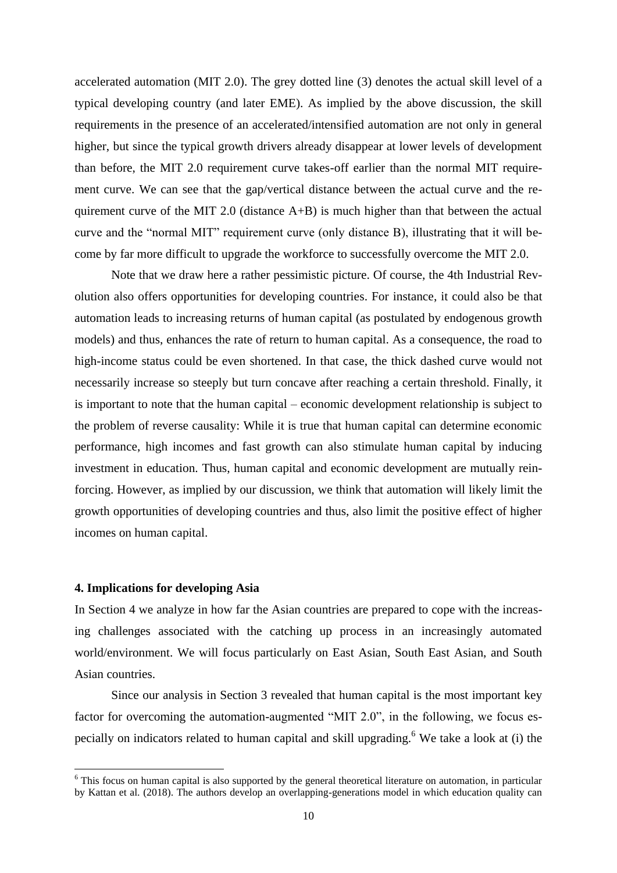accelerated automation (MIT 2.0). The grey dotted line (3) denotes the actual skill level of a typical developing country (and later EME). As implied by the above discussion, the skill requirements in the presence of an accelerated/intensified automation are not only in general higher, but since the typical growth drivers already disappear at lower levels of development than before, the MIT 2.0 requirement curve takes-off earlier than the normal MIT requirement curve. We can see that the gap/vertical distance between the actual curve and the requirement curve of the MIT 2.0 (distance  $A+B$ ) is much higher than that between the actual curve and the "normal MIT" requirement curve (only distance B), illustrating that it will become by far more difficult to upgrade the workforce to successfully overcome the MIT 2.0.

Note that we draw here a rather pessimistic picture. Of course, the 4th Industrial Revolution also offers opportunities for developing countries. For instance, it could also be that automation leads to increasing returns of human capital (as postulated by endogenous growth models) and thus, enhances the rate of return to human capital. As a consequence, the road to high-income status could be even shortened. In that case, the thick dashed curve would not necessarily increase so steeply but turn concave after reaching a certain threshold. Finally, it is important to note that the human capital – economic development relationship is subject to the problem of reverse causality: While it is true that human capital can determine economic performance, high incomes and fast growth can also stimulate human capital by inducing investment in education. Thus, human capital and economic development are mutually reinforcing. However, as implied by our discussion, we think that automation will likely limit the growth opportunities of developing countries and thus, also limit the positive effect of higher incomes on human capital.

#### **4. Implications for developing Asia**

1

In Section 4 we analyze in how far the Asian countries are prepared to cope with the increasing challenges associated with the catching up process in an increasingly automated world/environment. We will focus particularly on East Asian, South East Asian, and South Asian countries.

Since our analysis in Section 3 revealed that human capital is the most important key factor for overcoming the automation-augmented "MIT 2.0", in the following, we focus especially on indicators related to human capital and skill upgrading.<sup>6</sup> We take a look at (i) the

<sup>&</sup>lt;sup>6</sup> This focus on human capital is also supported by the general theoretical literature on automation, in particular by Kattan et al. (2018). The authors develop an overlapping-generations model in which education quality can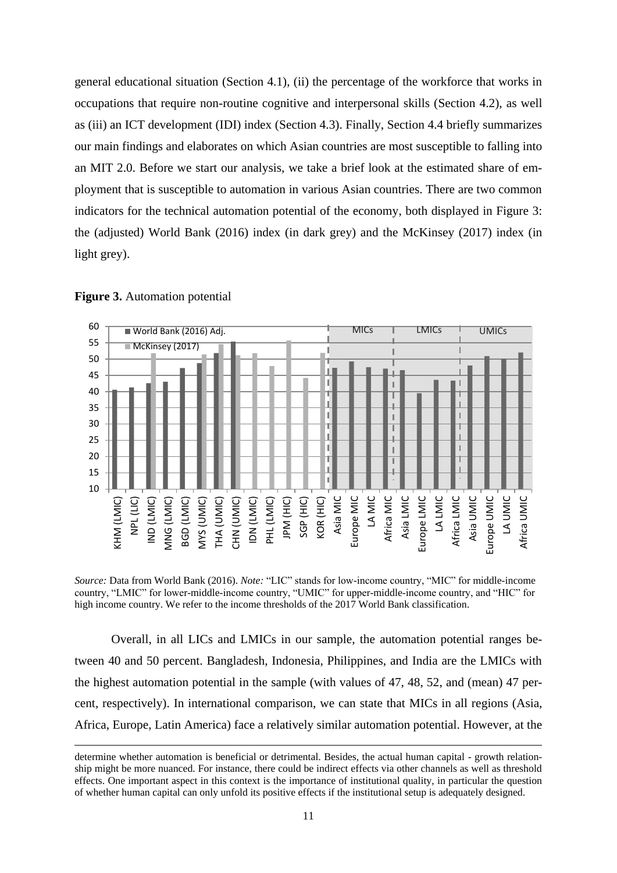general educational situation (Section 4.1), (ii) the percentage of the workforce that works in occupations that require non-routine cognitive and interpersonal skills (Section 4.2), as well as (iii) an ICT development (IDI) index (Section 4.3). Finally, Section 4.4 briefly summarizes our main findings and elaborates on which Asian countries are most susceptible to falling into an MIT 2.0. Before we start our analysis, we take a brief look at the estimated share of employment that is susceptible to automation in various Asian countries. There are two common indicators for the technical automation potential of the economy, both displayed in Figure 3: the (adjusted) World Bank (2016) index (in dark grey) and the McKinsey (2017) index (in light grey).



**Figure 3.** Automation potential

**.** 

*Source:* Data from World Bank (2016). *Note:* "LIC" stands for low-income country, "MIC" for middle-income country, "LMIC" for lower-middle-income country, "UMIC" for upper-middle-income country, and "HIC" for high income country. We refer to the income thresholds of the 2017 World Bank classification.

Overall, in all LICs and LMICs in our sample, the automation potential ranges between 40 and 50 percent. Bangladesh, Indonesia, Philippines, and India are the LMICs with the highest automation potential in the sample (with values of 47, 48, 52, and (mean) 47 percent, respectively). In international comparison, we can state that MICs in all regions (Asia, Africa, Europe, Latin America) face a relatively similar automation potential. However, at the

determine whether automation is beneficial or detrimental. Besides, the actual human capital - growth relationship might be more nuanced. For instance, there could be indirect effects via other channels as well as threshold effects. One important aspect in this context is the importance of institutional quality, in particular the question of whether human capital can only unfold its positive effects if the institutional setup is adequately designed.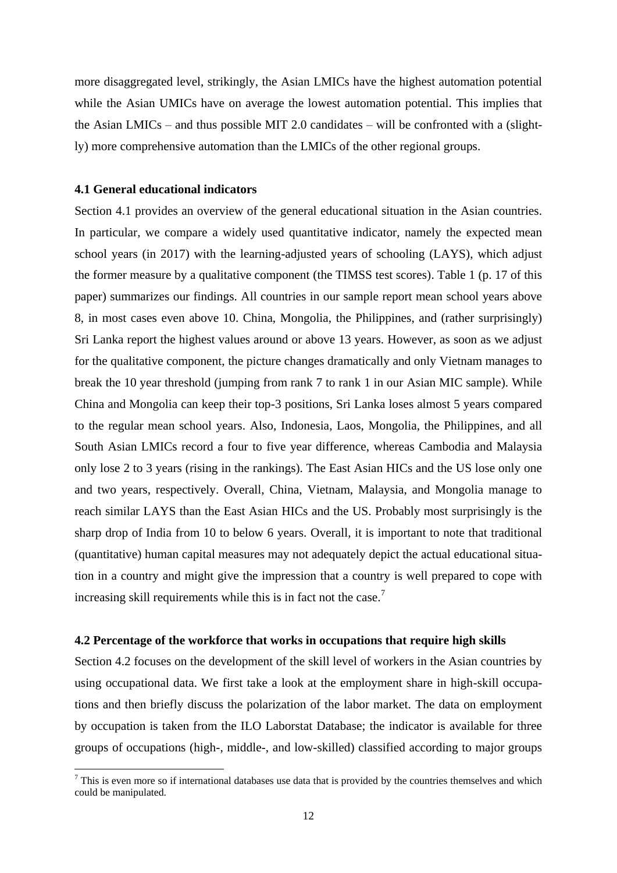more disaggregated level, strikingly, the Asian LMICs have the highest automation potential while the Asian UMICs have on average the lowest automation potential. This implies that the Asian LMICs – and thus possible MIT 2.0 candidates – will be confronted with a (slightly) more comprehensive automation than the LMICs of the other regional groups.

#### **4.1 General educational indicators**

1

Section 4.1 provides an overview of the general educational situation in the Asian countries. In particular, we compare a widely used quantitative indicator, namely the expected mean school years (in 2017) with the learning-adjusted years of schooling (LAYS), which adjust the former measure by a qualitative component (the TIMSS test scores). Table 1 (p. 17 of this paper) summarizes our findings. All countries in our sample report mean school years above 8, in most cases even above 10. China, Mongolia, the Philippines, and (rather surprisingly) Sri Lanka report the highest values around or above 13 years. However, as soon as we adjust for the qualitative component, the picture changes dramatically and only Vietnam manages to break the 10 year threshold (jumping from rank 7 to rank 1 in our Asian MIC sample). While China and Mongolia can keep their top-3 positions, Sri Lanka loses almost 5 years compared to the regular mean school years. Also, Indonesia, Laos, Mongolia, the Philippines, and all South Asian LMICs record a four to five year difference, whereas Cambodia and Malaysia only lose 2 to 3 years (rising in the rankings). The East Asian HICs and the US lose only one and two years, respectively. Overall, China, Vietnam, Malaysia, and Mongolia manage to reach similar LAYS than the East Asian HICs and the US. Probably most surprisingly is the sharp drop of India from 10 to below 6 years. Overall, it is important to note that traditional (quantitative) human capital measures may not adequately depict the actual educational situation in a country and might give the impression that a country is well prepared to cope with increasing skill requirements while this is in fact not the case.<sup>7</sup>

#### **4.2 Percentage of the workforce that works in occupations that require high skills**

Section 4.2 focuses on the development of the skill level of workers in the Asian countries by using occupational data. We first take a look at the employment share in high-skill occupations and then briefly discuss the polarization of the labor market. The data on employment by occupation is taken from the ILO Laborstat Database; the indicator is available for three groups of occupations (high-, middle-, and low-skilled) classified according to major groups

 $<sup>7</sup>$  This is even more so if international databases use data that is provided by the countries themselves and which</sup> could be manipulated.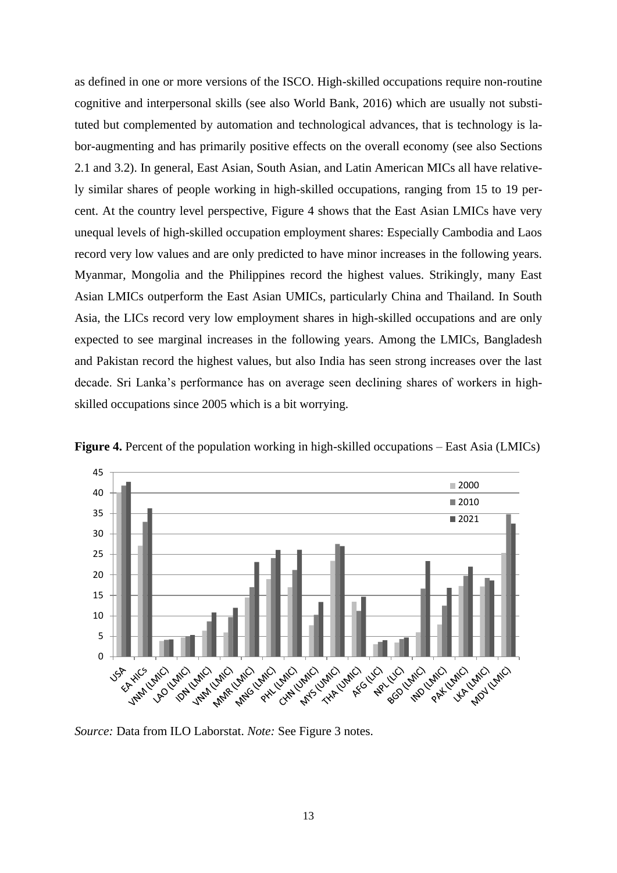as defined in one or more versions of the ISCO. High-skilled occupations require non-routine cognitive and interpersonal skills (see also World Bank, 2016) which are usually not substituted but complemented by automation and technological advances, that is technology is labor-augmenting and has primarily positive effects on the overall economy (see also Sections 2.1 and 3.2). In general, East Asian, South Asian, and Latin American MICs all have relatively similar shares of people working in high-skilled occupations, ranging from 15 to 19 percent. At the country level perspective, Figure 4 shows that the East Asian LMICs have very unequal levels of high-skilled occupation employment shares: Especially Cambodia and Laos record very low values and are only predicted to have minor increases in the following years. Myanmar, Mongolia and the Philippines record the highest values. Strikingly, many East Asian LMICs outperform the East Asian UMICs, particularly China and Thailand. In South Asia, the LICs record very low employment shares in high-skilled occupations and are only expected to see marginal increases in the following years. Among the LMICs, Bangladesh and Pakistan record the highest values, but also India has seen strong increases over the last decade. Sri Lanka's performance has on average seen declining shares of workers in highskilled occupations since 2005 which is a bit worrying.



**Figure 4.** Percent of the population working in high-skilled occupations – East Asia (LMICs)

*Source:* Data from ILO Laborstat. *Note:* See Figure 3 notes.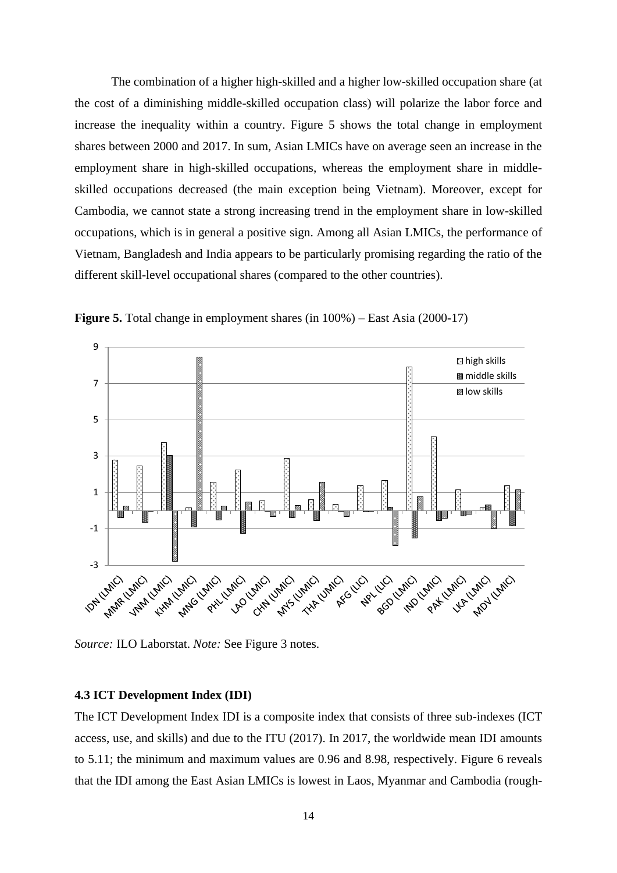The combination of a higher high-skilled and a higher low-skilled occupation share (at the cost of a diminishing middle-skilled occupation class) will polarize the labor force and increase the inequality within a country. Figure 5 shows the total change in employment shares between 2000 and 2017. In sum, Asian LMICs have on average seen an increase in the employment share in high-skilled occupations, whereas the employment share in middleskilled occupations decreased (the main exception being Vietnam). Moreover, except for Cambodia, we cannot state a strong increasing trend in the employment share in low-skilled occupations, which is in general a positive sign. Among all Asian LMICs, the performance of Vietnam, Bangladesh and India appears to be particularly promising regarding the ratio of the different skill-level occupational shares (compared to the other countries).



**Figure 5.** Total change in employment shares (in  $100\%$ ) – East Asia (2000-17)

*Source:* ILO Laborstat. *Note:* See Figure 3 notes.

#### **4.3 ICT Development Index (IDI)**

The ICT Development Index IDI is a composite index that consists of three sub-indexes (ICT access, use, and skills) and due to the ITU (2017). In 2017, the worldwide mean IDI amounts to 5.11; the minimum and maximum values are 0.96 and 8.98, respectively. Figure 6 reveals that the IDI among the East Asian LMICs is lowest in Laos, Myanmar and Cambodia (rough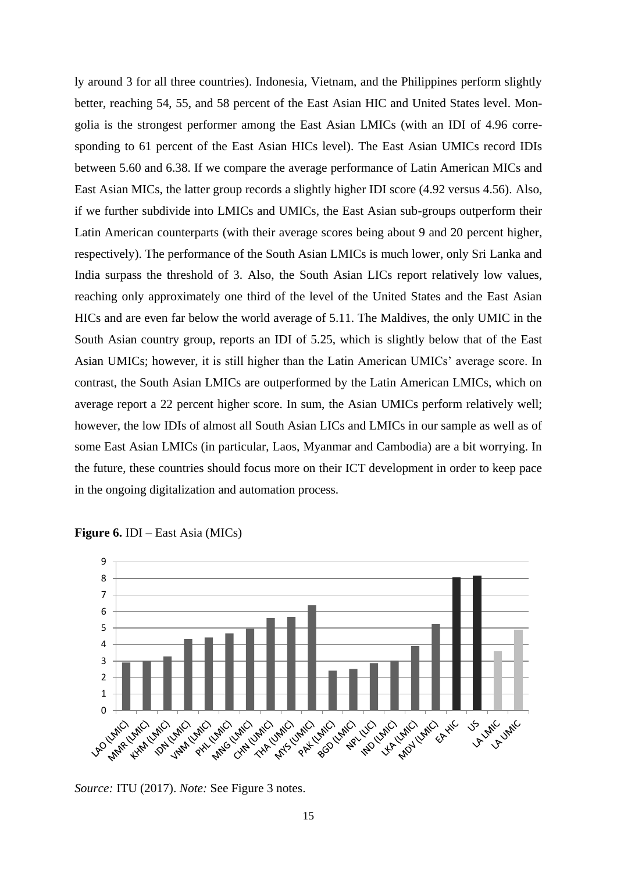ly around 3 for all three countries). Indonesia, Vietnam, and the Philippines perform slightly better, reaching 54, 55, and 58 percent of the East Asian HIC and United States level. Mongolia is the strongest performer among the East Asian LMICs (with an IDI of 4.96 corresponding to 61 percent of the East Asian HICs level). The East Asian UMICs record IDIs between 5.60 and 6.38. If we compare the average performance of Latin American MICs and East Asian MICs, the latter group records a slightly higher IDI score (4.92 versus 4.56). Also, if we further subdivide into LMICs and UMICs, the East Asian sub-groups outperform their Latin American counterparts (with their average scores being about 9 and 20 percent higher, respectively). The performance of the South Asian LMICs is much lower, only Sri Lanka and India surpass the threshold of 3. Also, the South Asian LICs report relatively low values, reaching only approximately one third of the level of the United States and the East Asian HICs and are even far below the world average of 5.11. The Maldives, the only UMIC in the South Asian country group, reports an IDI of 5.25, which is slightly below that of the East Asian UMICs; however, it is still higher than the Latin American UMICs' average score. In contrast, the South Asian LMICs are outperformed by the Latin American LMICs, which on average report a 22 percent higher score. In sum, the Asian UMICs perform relatively well; however, the low IDIs of almost all South Asian LICs and LMICs in our sample as well as of some East Asian LMICs (in particular, Laos, Myanmar and Cambodia) are a bit worrying. In the future, these countries should focus more on their ICT development in order to keep pace in the ongoing digitalization and automation process.



**Figure 6.** IDI – East Asia (MICs)

*Source:* ITU (2017). *Note:* See Figure 3 notes.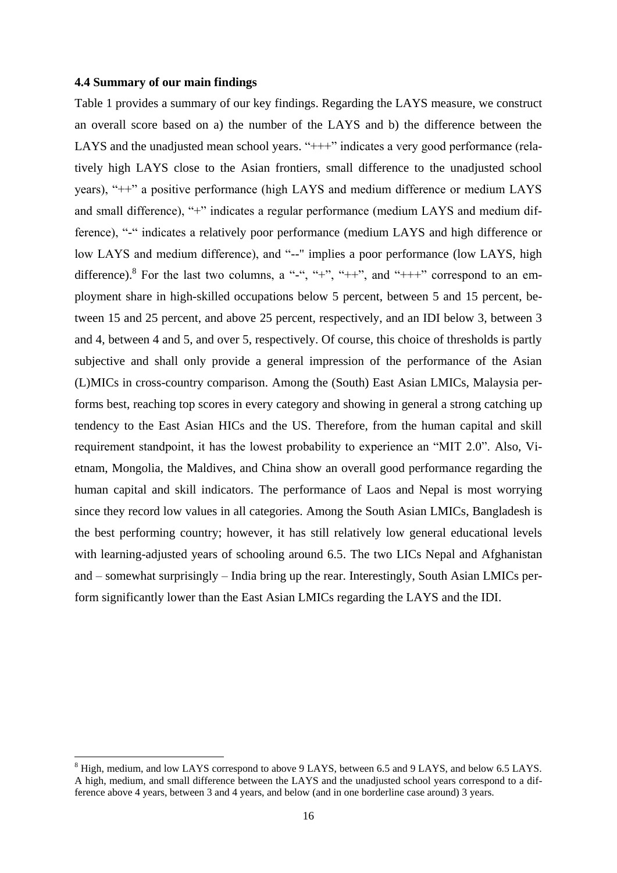#### **4.4 Summary of our main findings**

**.** 

Table 1 provides a summary of our key findings. Regarding the LAYS measure, we construct an overall score based on a) the number of the LAYS and b) the difference between the LAYS and the unadjusted mean school years. "+++" indicates a very good performance (relatively high LAYS close to the Asian frontiers, small difference to the unadjusted school years), "++" a positive performance (high LAYS and medium difference or medium LAYS and small difference), "+" indicates a regular performance (medium LAYS and medium difference), "-" indicates a relatively poor performance (medium LAYS and high difference or low LAYS and medium difference), and "--" implies a poor performance (low LAYS, high difference). <sup>8</sup> For the last two columns, a "-", "+", "++", and "+++" correspond to an employment share in high-skilled occupations below 5 percent, between 5 and 15 percent, between 15 and 25 percent, and above 25 percent, respectively, and an IDI below 3, between 3 and 4, between 4 and 5, and over 5, respectively. Of course, this choice of thresholds is partly subjective and shall only provide a general impression of the performance of the Asian (L)MICs in cross-country comparison. Among the (South) East Asian LMICs, Malaysia performs best, reaching top scores in every category and showing in general a strong catching up tendency to the East Asian HICs and the US. Therefore, from the human capital and skill requirement standpoint, it has the lowest probability to experience an "MIT 2.0". Also, Vietnam, Mongolia, the Maldives, and China show an overall good performance regarding the human capital and skill indicators. The performance of Laos and Nepal is most worrying since they record low values in all categories. Among the South Asian LMICs, Bangladesh is the best performing country; however, it has still relatively low general educational levels with learning-adjusted years of schooling around 6.5. The two LICs Nepal and Afghanistan and – somewhat surprisingly – India bring up the rear. Interestingly, South Asian LMICs perform significantly lower than the East Asian LMICs regarding the LAYS and the IDI.

<sup>8</sup> High, medium, and low LAYS correspond to above 9 LAYS, between 6.5 and 9 LAYS, and below 6.5 LAYS. A high, medium, and small difference between the LAYS and the unadjusted school years correspond to a difference above 4 years, between 3 and 4 years, and below (and in one borderline case around) 3 years.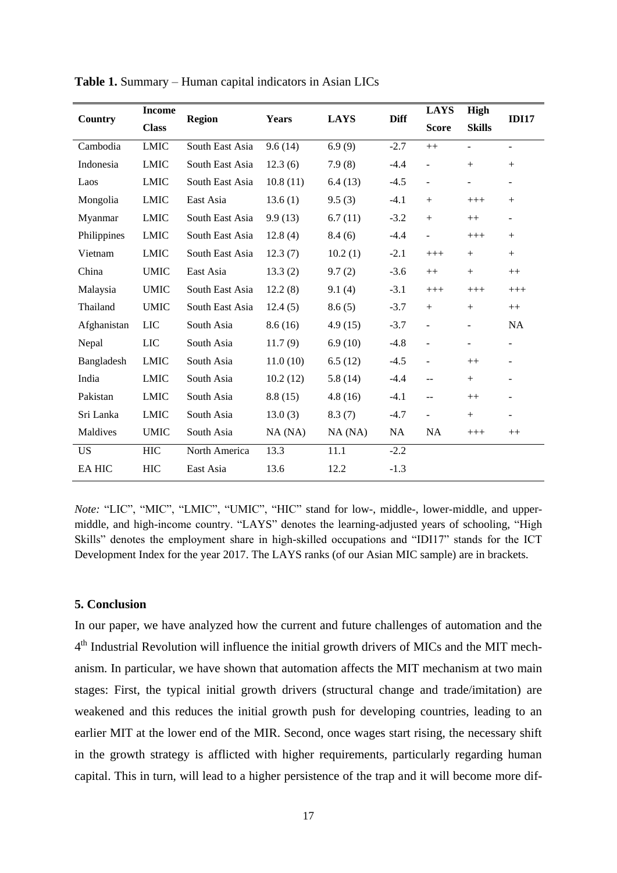| Country     | <b>Income</b> | <b>Region</b>   | <b>Years</b> | <b>LAYS</b>   | <b>Diff</b> | <b>LAYS</b>              | <b>High</b>              | <b>IDI17</b>             |
|-------------|---------------|-----------------|--------------|---------------|-------------|--------------------------|--------------------------|--------------------------|
|             | <b>Class</b>  |                 |              |               |             | <b>Score</b>             | <b>Skills</b>            |                          |
| Cambodia    | <b>LMIC</b>   | South East Asia | 9.6(14)      | 6.9(9)        | $-2.7$      | $++$                     | $\blacksquare$           | $\overline{\phantom{0}}$ |
| Indonesia   | <b>LMIC</b>   | South East Asia | 12.3(6)      | 7.9(8)        | $-4.4$      | $\blacksquare$           | $+$                      | $+$                      |
| Laos        | <b>LMIC</b>   | South East Asia | 10.8(11)     | 6.4(13)       | $-4.5$      | $\blacksquare$           | $\overline{\phantom{a}}$ | $\overline{\phantom{0}}$ |
| Mongolia    | <b>LMIC</b>   | East Asia       | 13.6(1)      | 9.5(3)        | $-4.1$      | $+$                      | $+++$                    | $^{+}$                   |
| Myanmar     | <b>LMIC</b>   | South East Asia | 9.9(13)      | 6.7(11)       | $-3.2$      | $+$                      | $++$                     | $\overline{\phantom{0}}$ |
| Philippines | <b>LMIC</b>   | South East Asia | 12.8(4)      | 8.4(6)        | $-4.4$      | $\overline{\phantom{a}}$ | $+++$                    | $+$                      |
| Vietnam     | <b>LMIC</b>   | South East Asia | 12.3(7)      | 10.2(1)       | $-2.1$      | $+++$                    | $+$                      | $+$                      |
| China       | <b>UMIC</b>   | East Asia       | 13.3(2)      | 9.7(2)        | $-3.6$      | $++$                     | $+$                      | $++$                     |
| Malaysia    | <b>UMIC</b>   | South East Asia | 12.2(8)      | 9.1(4)        | $-3.1$      | $+++$                    | $+++$                    | $^{+++}$                 |
| Thailand    | <b>UMIC</b>   | South East Asia | 12.4(5)      | 8.6(5)        | $-3.7$      | $+$                      | $+$                      | $++$                     |
| Afghanistan | <b>LIC</b>    | South Asia      | 8.6(16)      | 4.9(15)       | $-3.7$      | $\frac{1}{2}$            | $\overline{\phantom{a}}$ | <b>NA</b>                |
| Nepal       | LIC           | South Asia      | 11.7(9)      | 6.9(10)       | $-4.8$      | ÷,                       |                          | $\blacksquare$           |
| Bangladesh  | <b>LMIC</b>   | South Asia      | 11.0(10)     | 6.5(12)       | $-4.5$      | ÷,                       | $++$                     | $\overline{\phantom{a}}$ |
| India       | <b>LMIC</b>   | South Asia      | 10.2(12)     | 5.8(14)       | $-4.4$      | $-$                      | $+$                      | ÷                        |
| Pakistan    | <b>LMIC</b>   | South Asia      | 8.8(15)      | 4.8(16)       | $-4.1$      | $-$                      | $^{++}$                  | $\blacksquare$           |
| Sri Lanka   | <b>LMIC</b>   | South Asia      | 13.0(3)      | 8.3(7)        | $-4.7$      | $\blacksquare$           | $+$                      | ÷                        |
| Maldives    | <b>UMIC</b>   | South Asia      | $NA$ (NA)    | $NA$ ( $NA$ ) | NA          | NA                       | $+++$                    | $++$                     |
| <b>US</b>   | <b>HIC</b>    | North America   | 13.3         | 11.1          | $-2.2$      |                          |                          |                          |
| EA HIC      | <b>HIC</b>    | East Asia       | 13.6         | 12.2          | $-1.3$      |                          |                          |                          |

**Table 1.** Summary – Human capital indicators in Asian LICs

*Note:* "LIC", "MIC", "LMIC", "UMIC", "HIC" stand for low-, middle-, lower-middle, and uppermiddle, and high-income country. "LAYS" denotes the learning-adjusted years of schooling, "High Skills" denotes the employment share in high-skilled occupations and "IDI17" stands for the ICT Development Index for the year 2017. The LAYS ranks (of our Asian MIC sample) are in brackets.

#### **5. Conclusion**

In our paper, we have analyzed how the current and future challenges of automation and the 4<sup>th</sup> Industrial Revolution will influence the initial growth drivers of MICs and the MIT mechanism. In particular, we have shown that automation affects the MIT mechanism at two main stages: First, the typical initial growth drivers (structural change and trade/imitation) are weakened and this reduces the initial growth push for developing countries, leading to an earlier MIT at the lower end of the MIR. Second, once wages start rising, the necessary shift in the growth strategy is afflicted with higher requirements, particularly regarding human capital. This in turn, will lead to a higher persistence of the trap and it will become more dif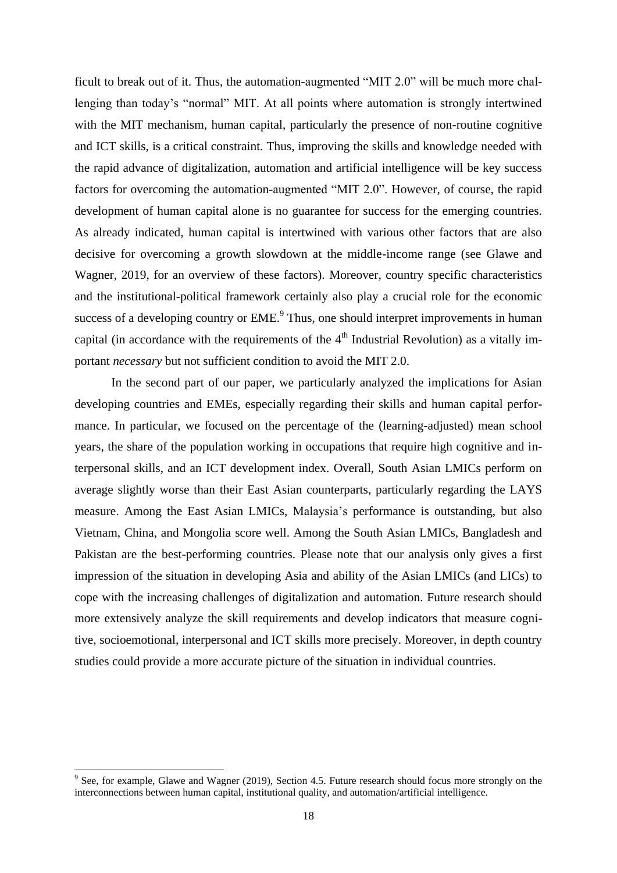ficult to break out of it. Thus, the automation-augmented "MIT 2.0" will be much more challenging than today's "normal" MIT. At all points where automation is strongly intertwined with the MIT mechanism, human capital, particularly the presence of non-routine cognitive and ICT skills, is a critical constraint. Thus, improving the skills and knowledge needed with the rapid advance of digitalization, automation and artificial intelligence will be key success factors for overcoming the automation-augmented "MIT 2.0". However, of course, the rapid development of human capital alone is no guarantee for success for the emerging countries. As already indicated, human capital is intertwined with various other factors that are also decisive for overcoming a growth slowdown at the middle-income range (see Glawe and Wagner, 2019, for an overview of these factors). Moreover, country specific characteristics and the institutional-political framework certainly also play a crucial role for the economic success of a developing country or  $EME<sup>9</sup>$ . Thus, one should interpret improvements in human capital (in accordance with the requirements of the  $4<sup>th</sup>$  Industrial Revolution) as a vitally important *necessary* but not sufficient condition to avoid the MIT 2.0.

In the second part of our paper, we particularly analyzed the implications for Asian developing countries and EMEs, especially regarding their skills and human capital performance. In particular, we focused on the percentage of the (learning-adjusted) mean school years, the share of the population working in occupations that require high cognitive and interpersonal skills, and an ICT development index. Overall, South Asian LMICs perform on average slightly worse than their East Asian counterparts, particularly regarding the LAYS measure. Among the East Asian LMICs, Malaysia's performance is outstanding, but also Vietnam, China, and Mongolia score well. Among the South Asian LMICs, Bangladesh and Pakistan are the best-performing countries. Please note that our analysis only gives a first impression of the situation in developing Asia and ability of the Asian LMICs (and LICs) to cope with the increasing challenges of digitalization and automation. Future research should more extensively analyze the skill requirements and develop indicators that measure cognitive, socioemotional, interpersonal and ICT skills more precisely. Moreover, in depth country studies could provide a more accurate picture of the situation in individual countries.

1

 $9$  See, for example, Glawe and Wagner (2019), Section 4.5. Future research should focus more strongly on the interconnections between human capital, institutional quality, and automation/artificial intelligence.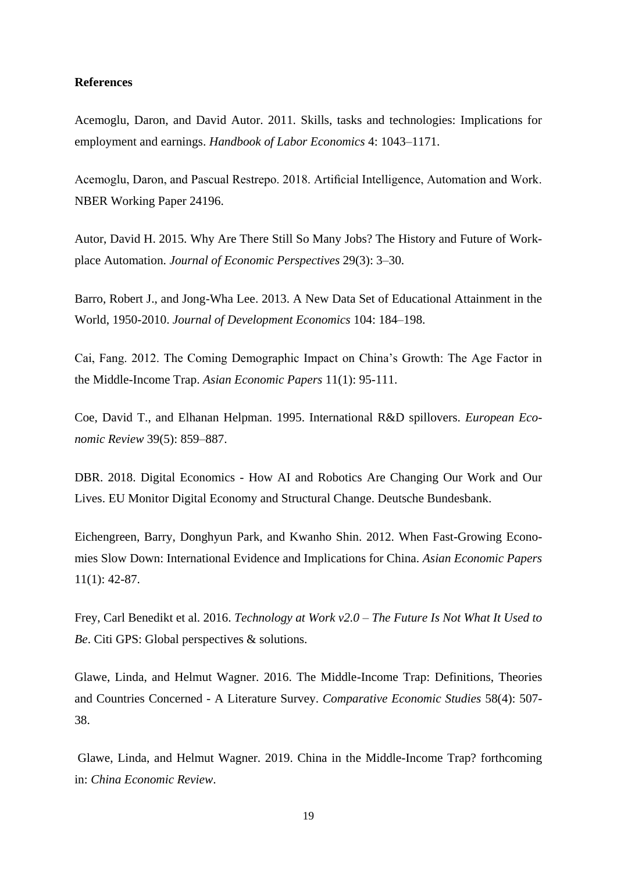#### **References**

Acemoglu, Daron, and David Autor. 2011. Skills, tasks and technologies: Implications for employment and earnings. *Handbook of Labor Economics* 4: 1043–1171.

Acemoglu, Daron, and Pascual Restrepo. 2018. Artificial Intelligence, Automation and Work. NBER Working Paper 24196.

Autor, David H. 2015. Why Are There Still So Many Jobs? The History and Future of Workplace Automation. *Journal of Economic Perspectives* 29(3): 3–30.

Barro, Robert J., and Jong-Wha Lee. 2013. A New Data Set of Educational Attainment in the World, 1950-2010. *Journal of Development Economics* 104: 184–198.

Cai, Fang. 2012. The Coming Demographic Impact on China's Growth: The Age Factor in the Middle-Income Trap. *Asian Economic Papers* 11(1): 95-111.

Coe, David T., and Elhanan Helpman. 1995. International R&D spillovers. *European Economic Review* 39(5): 859–887.

DBR. 2018. Digital Economics - How AI and Robotics Are Changing Our Work and Our Lives. EU Monitor Digital Economy and Structural Change. Deutsche Bundesbank.

Eichengreen, Barry, Donghyun Park, and Kwanho Shin. 2012. When Fast-Growing Economies Slow Down: International Evidence and Implications for China. *Asian Economic Papers* 11(1): 42-87.

Frey, Carl Benedikt et al. 2016. *Technology at Work v2.0 – The Future Is Not What It Used to Be*. Citi GPS: Global perspectives & solutions.

Glawe, Linda, and Helmut Wagner. 2016. The Middle-Income Trap: Definitions, Theories and Countries Concerned - A Literature Survey. *Comparative Economic Studies* 58(4): 507- 38.

Glawe, Linda, and Helmut Wagner. 2019. China in the Middle-Income Trap? forthcoming in: *China Economic Review*.